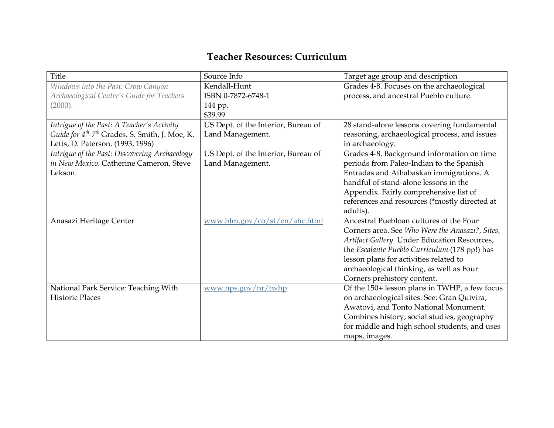## **Teacher Resources: Curriculum**

| Title                                                                   | Source Info                         | Target age group and description                |
|-------------------------------------------------------------------------|-------------------------------------|-------------------------------------------------|
| Windows into the Past: Crow Canyon                                      | Kendall-Hunt                        | Grades 4-8. Focuses on the archaeological       |
| Archaeological Center's Guide for Teachers                              | ISBN 0-7872-6748-1                  | process, and ancestral Pueblo culture.          |
| (2000).                                                                 | 144 pp.                             |                                                 |
|                                                                         | \$39.99                             |                                                 |
| Intrigue of the Past: A Teacher's Activity                              | US Dept. of the Interior, Bureau of | 28 stand-alone lessons covering fundamental     |
| Guide for 4 <sup>th</sup> -7 <sup>th</sup> Grades. S. Smith, J. Moe, K. | Land Management.                    | reasoning, archaeological process, and issues   |
| Letts, D. Paterson. (1993, 1996)                                        |                                     | in archaeology.                                 |
| Intrigue of the Past: Discovering Archaeology                           | US Dept. of the Interior, Bureau of | Grades 4-8. Background information on time      |
| in New Mexico. Catherine Cameron, Steve                                 | Land Management.                    | periods from Paleo-Indian to the Spanish        |
| Lekson.                                                                 |                                     | Entradas and Athabaskan immigrations. A         |
|                                                                         |                                     | handful of stand-alone lessons in the           |
|                                                                         |                                     | Appendix. Fairly comprehensive list of          |
|                                                                         |                                     | references and resources (*mostly directed at   |
|                                                                         |                                     | adults).                                        |
| Anasazi Heritage Center                                                 | www.blm.gov/co/st/en/ahc.html       | Ancestral Puebloan cultures of the Four         |
|                                                                         |                                     | Corners area. See Who Were the Anasazi?, Sites, |
|                                                                         |                                     | Artifact Gallery. Under Education Resources,    |
|                                                                         |                                     | the Escalante Pueblo Curriculum (178 pp!) has   |
|                                                                         |                                     | lesson plans for activities related to          |
|                                                                         |                                     | archaeological thinking, as well as Four        |
|                                                                         |                                     | Corners prehistory content.                     |
| National Park Service: Teaching With                                    | $\frac{www.nps.gov/nr/twhp}{m}$     | Of the 150+ lesson plans in TWHP, a few focus   |
| <b>Historic Places</b>                                                  |                                     | on archaeological sites. See: Gran Quivira,     |
|                                                                         |                                     | Awatovi, and Tonto National Monument.           |
|                                                                         |                                     | Combines history, social studies, geography     |
|                                                                         |                                     | for middle and high school students, and uses   |
|                                                                         |                                     | maps, images.                                   |